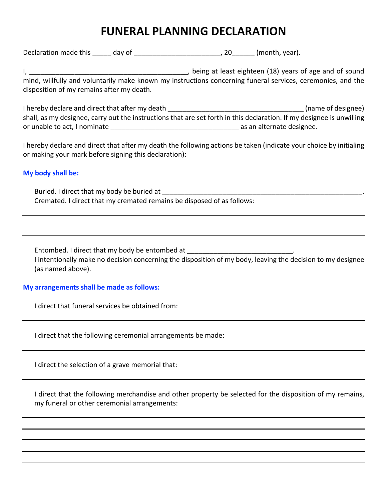## **FUNERAL PLANNING DECLARATION**

Declaration made this \_\_\_\_\_\_ day of \_\_\_\_\_\_\_\_\_\_\_\_\_\_\_\_\_\_\_\_\_\_\_\_\_\_\_\_, 20\_\_\_\_\_\_\_ (month, year).

I, \_\_\_\_\_\_\_\_\_\_\_\_\_\_\_\_\_\_\_\_\_\_\_\_\_\_\_\_\_\_\_\_\_\_\_\_\_\_\_\_\_\_, being at least eighteen (18) years of age and of sound mind, willfully and voluntarily make known my instructions concerning funeral services, ceremonies, and the disposition of my remains after my death.

I hereby declare and direct that after my death  $\blacksquare$ shall, as my designee, carry out the instructions that are set forth in this declaration. If my designee is unwilling or unable to act, I nominate \_\_\_\_\_\_\_\_\_\_\_\_\_\_\_\_\_\_\_\_\_\_\_\_\_\_\_\_\_\_\_\_\_\_ as an alternate designee.

I hereby declare and direct that after my death the following actions be taken (indicate your choice by initialing or making your mark before signing this declaration):

**My body shall be:**

Buried. I direct that my body be buried at Cremated. I direct that my cremated remains be disposed of as follows:

Entombed. I direct that my body be entombed at I intentionally make no decision concerning the disposition of my body, leaving the decision to my designee (as named above).

## **My arrangements shall be made as follows:**

I direct that funeral services be obtained from:

I direct that the following ceremonial arrangements be made:

I direct the selection of a grave memorial that:

 I direct that the following merchandise and other property be selected for the disposition of my remains, my funeral or other ceremonial arrangements: